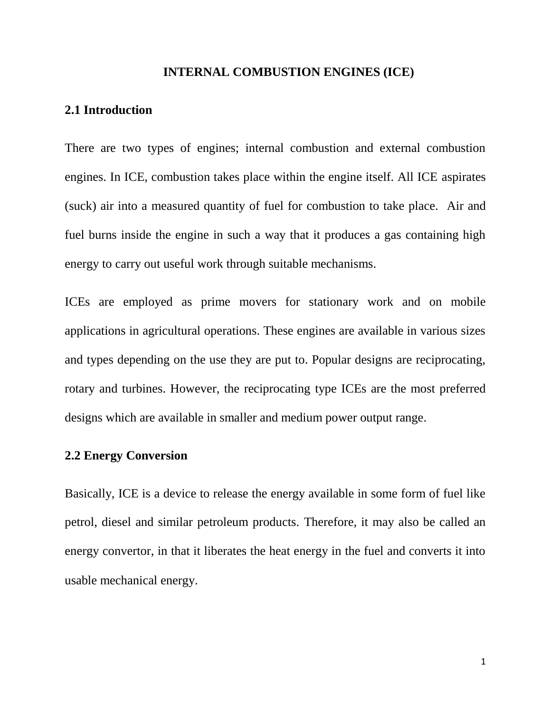#### **INTERNAL COMBUSTION ENGINES (ICE)**

### **2.1 Introduction**

There are two types of engines; internal combustion and external combustion engines. In ICE, combustion takes place within the engine itself. All ICE aspirates (suck) air into a measured quantity of fuel for combustion to take place. Air and fuel burns inside the engine in such a way that it produces a gas containing high energy to carry out useful work through suitable mechanisms.

ICEs are employed as prime movers for stationary work and on mobile applications in agricultural operations. These engines are available in various sizes and types depending on the use they are put to. Popular designs are reciprocating, rotary and turbines. However, the reciprocating type ICEs are the most preferred designs which are available in smaller and medium power output range.

### **2.2 Energy Conversion**

Basically, ICE is a device to release the energy available in some form of fuel like petrol, diesel and similar petroleum products. Therefore, it may also be called an energy convertor, in that it liberates the heat energy in the fuel and converts it into usable mechanical energy.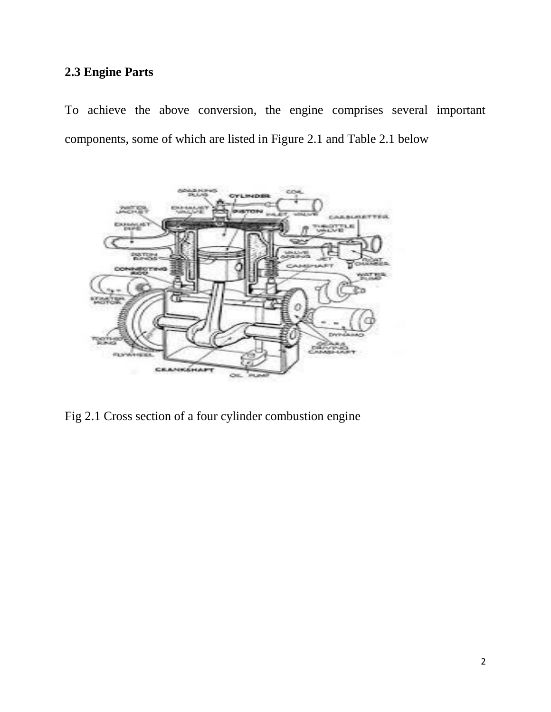# **2.3 Engine Parts**

To achieve the above conversion, the engine comprises several important components, some of which are listed in Figure 2.1 and Table 2.1 below



Fig 2.1 Cross section of a four cylinder combustion engine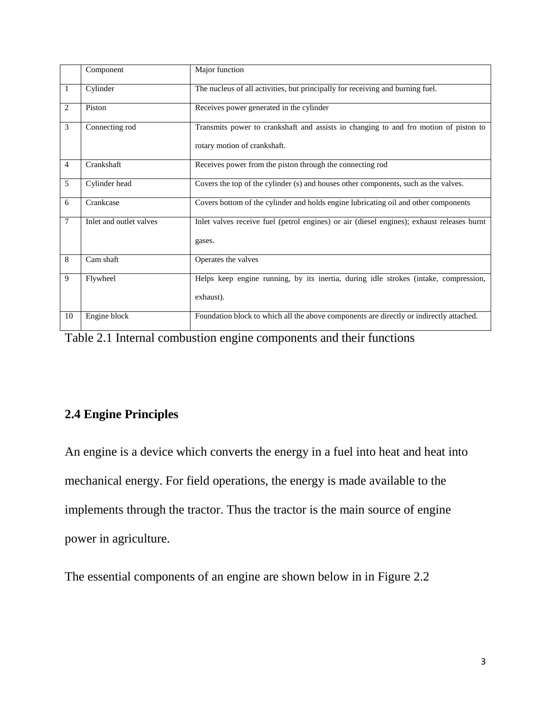|                | Component               | Major function                                                                                                       |
|----------------|-------------------------|----------------------------------------------------------------------------------------------------------------------|
| $\mathbf{1}$   | Cylinder                | The nucleus of all activities, but principally for receiving and burning fuel.                                       |
| 2              | Piston                  | Receives power generated in the cylinder                                                                             |
| 3              | Connecting rod          | Transmits power to crankshaft and assists in changing to and fro motion of piston to<br>rotary motion of crankshaft. |
| $\overline{4}$ | Crankshaft              | Receives power from the piston through the connecting rod                                                            |
| 5              | Cylinder head           | Covers the top of the cylinder (s) and houses other components, such as the valves.                                  |
| 6              | Crankcase               | Covers bottom of the cylinder and holds engine lubricating oil and other components                                  |
| $\overline{7}$ | Inlet and outlet valves | Inlet valves receive fuel (petrol engines) or air (diesel engines); exhaust releases burnt<br>gases.                 |
| 8              | Cam shaft               | Operates the valves                                                                                                  |
| 9              | Flywheel                | Helps keep engine running, by its inertia, during idle strokes (intake, compression,<br>exhaust).                    |
| 10             | Engine block            | Foundation block to which all the above components are directly or indirectly attached.                              |

Table 2.1 Internal combustion engine components and their functions

# **2.4 Engine Principles**

An engine is a device which converts the energy in a fuel into heat and heat into mechanical energy. For field operations, the energy is made available to the implements through the tractor. Thus the tractor is the main source of engine power in agriculture.

The essential components of an engine are shown below in in Figure 2.2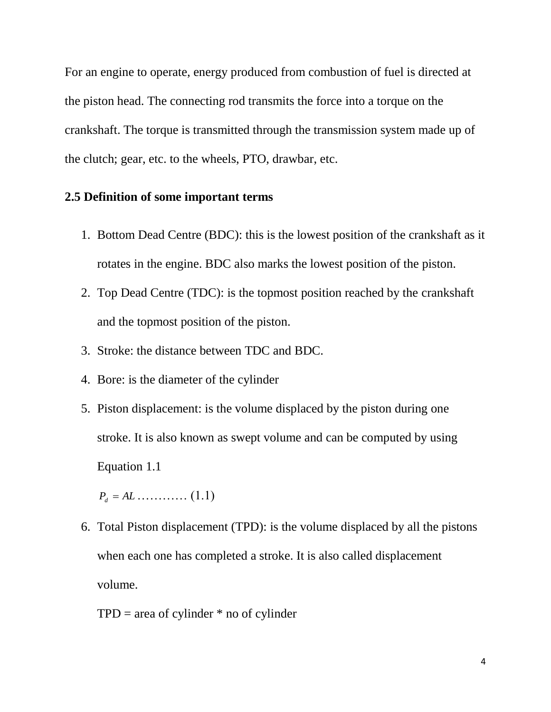For an engine to operate, energy produced from combustion of fuel is directed at the piston head. The connecting rod transmits the force into a torque on the crankshaft. The torque is transmitted through the transmission system made up of the clutch; gear, etc. to the wheels, PTO, drawbar, etc.

# **2.5 Definition of some important terms**

- 1. Bottom Dead Centre (BDC): this is the lowest position of the crankshaft as it rotates in the engine. BDC also marks the lowest position of the piston.
- 2. Top Dead Centre (TDC): is the topmost position reached by the crankshaft and the topmost position of the piston.
- 3. Stroke: the distance between TDC and BDC.
- 4. Bore: is the diameter of the cylinder
- 5. Piston displacement: is the volume displaced by the piston during one stroke. It is also known as swept volume and can be computed by using Equation 1.1

 $P_d = AL$  ………… (1.1)

- 6. Total Piston displacement (TPD): is the volume displaced by all the pistons when each one has completed a stroke. It is also called displacement volume.
	- $TPD = area of cylinder * no of cylinder$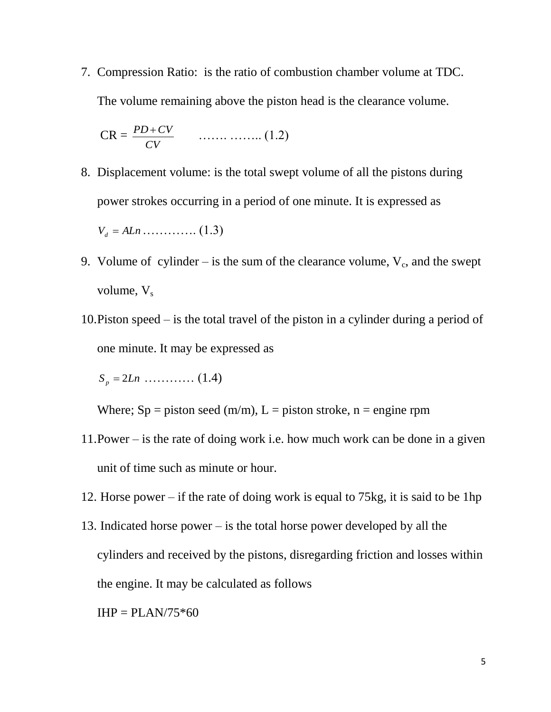7. Compression Ratio: is the ratio of combustion chamber volume at TDC. The volume remaining above the piston head is the clearance volume.

$$
CR = \frac{PD + CV}{CV} \qquad \qquad (1.2)
$$

- 8. Displacement volume: is the total swept volume of all the pistons during power strokes occurring in a period of one minute. It is expressed as  $V_d = ALn$  ………….. (1.3)
- 9. Volume of cylinder is the sum of the clearance volume,  $V_c$ , and the swept volume,  $V_s$
- 10.Piston speed is the total travel of the piston in a cylinder during a period of one minute. It may be expressed as

 $S_p = 2Ln$  ………… (1.4)

Where;  $Sp = p$  iston seed (m/m),  $L = p$  iston stroke, n = engine rpm

- 11.Power is the rate of doing work i.e. how much work can be done in a given unit of time such as minute or hour.
- 12. Horse power if the rate of doing work is equal to 75kg, it is said to be 1hp
- 13. Indicated horse power is the total horse power developed by all the cylinders and received by the pistons, disregarding friction and losses within the engine. It may be calculated as follows

 $IHP = PLAN/75*60$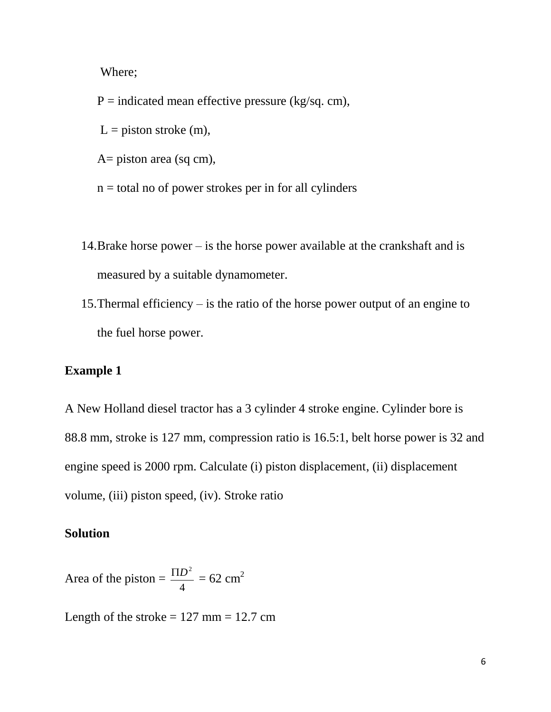Where;

 $P =$  indicated mean effective pressure (kg/sq. cm),  $L =$  piston stroke (m),

A= piston area (sq cm),

 $n =$  total no of power strokes per in for all cylinders

- 14.Brake horse power is the horse power available at the crankshaft and is measured by a suitable dynamometer.
- 15.Thermal efficiency is the ratio of the horse power output of an engine to the fuel horse power.

# **Example 1**

A New Holland diesel tractor has a 3 cylinder 4 stroke engine. Cylinder bore is 88.8 mm, stroke is 127 mm, compression ratio is 16.5:1, belt horse power is 32 and engine speed is 2000 rpm. Calculate (i) piston displacement, (ii) displacement volume, (iii) piston speed, (iv). Stroke ratio

### **Solution**

Area of the piston  $=$ 4  $\frac{\Pi D^2}{4}$  = 62 cm<sup>2</sup>

Length of the stroke  $= 127$  mm  $= 12.7$  cm